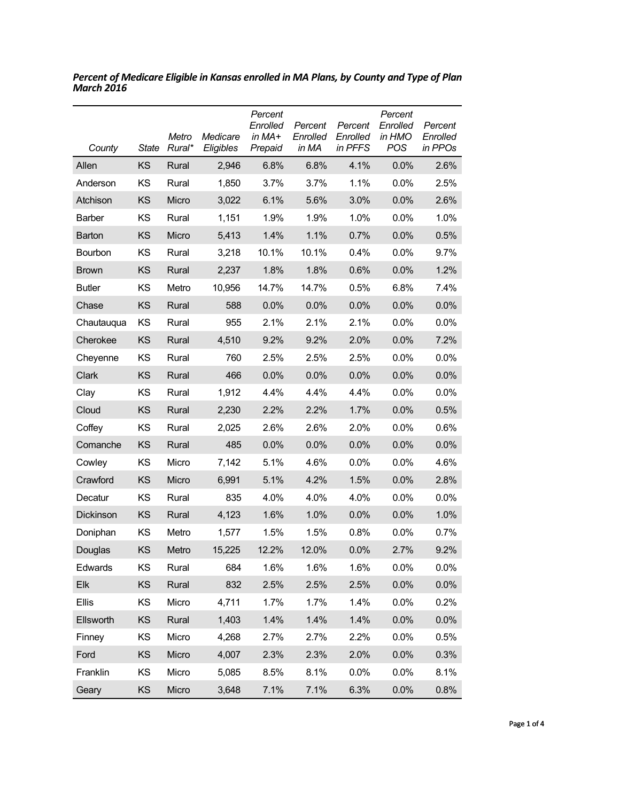| County        | <b>State</b> | Metro<br>Rural* | Medicare<br>Eligibles | Percent<br>Enrolled<br>in MA+<br>Prepaid | Percent<br>Enrolled<br>in MA | Percent<br>Enrolled<br>in PFFS | Percent<br>Enrolled<br>in HMO<br><b>POS</b> | Percent<br>Enrolled<br>in PPOs |
|---------------|--------------|-----------------|-----------------------|------------------------------------------|------------------------------|--------------------------------|---------------------------------------------|--------------------------------|
| Allen         | KS           | Rural           | 2,946                 | 6.8%                                     | 6.8%                         | 4.1%                           | 0.0%                                        | 2.6%                           |
| Anderson      | ΚS           | Rural           | 1,850                 | 3.7%                                     | 3.7%                         | 1.1%                           | 0.0%                                        | 2.5%                           |
| Atchison      | KS           | Micro           | 3,022                 | 6.1%                                     | 5.6%                         | 3.0%                           | 0.0%                                        | 2.6%                           |
| <b>Barber</b> | ΚS           | Rural           | 1,151                 | 1.9%                                     | 1.9%                         | 1.0%                           | 0.0%                                        | 1.0%                           |
| Barton        | ΚS           | Micro           | 5,413                 | 1.4%                                     | 1.1%                         | 0.7%                           | 0.0%                                        | 0.5%                           |
| Bourbon       | ΚS           | Rural           | 3,218                 | 10.1%                                    | 10.1%                        | 0.4%                           | $0.0\%$                                     | 9.7%                           |
| <b>Brown</b>  | KS           | Rural           | 2,237                 | 1.8%                                     | 1.8%                         | 0.6%                           | 0.0%                                        | 1.2%                           |
| <b>Butler</b> | ΚS           | Metro           | 10,956                | 14.7%                                    | 14.7%                        | 0.5%                           | 6.8%                                        | 7.4%                           |
| Chase         | KS           | Rural           | 588                   | 0.0%                                     | 0.0%                         | 0.0%                           | 0.0%                                        | 0.0%                           |
| Chautauqua    | ΚS           | Rural           | 955                   | 2.1%                                     | 2.1%                         | 2.1%                           | 0.0%                                        | $0.0\%$                        |
| Cherokee      | KS           | Rural           | 4,510                 | 9.2%                                     | 9.2%                         | 2.0%                           | 0.0%                                        | 7.2%                           |
| Cheyenne      | ΚS           | Rural           | 760                   | 2.5%                                     | 2.5%                         | 2.5%                           | 0.0%                                        | 0.0%                           |
| Clark         | KS           | Rural           | 466                   | 0.0%                                     | 0.0%                         | 0.0%                           | 0.0%                                        | 0.0%                           |
| Clay          | ΚS           | Rural           | 1,912                 | 4.4%                                     | 4.4%                         | 4.4%                           | 0.0%                                        | 0.0%                           |
| Cloud         | ΚS           | Rural           | 2,230                 | 2.2%                                     | 2.2%                         | 1.7%                           | 0.0%                                        | 0.5%                           |
| Coffey        | ΚS           | Rural           | 2,025                 | 2.6%                                     | 2.6%                         | 2.0%                           | $0.0\%$                                     | 0.6%                           |
| Comanche      | ΚS           | Rural           | 485                   | 0.0%                                     | 0.0%                         | 0.0%                           | 0.0%                                        | 0.0%                           |
| Cowley        | ΚS           | Micro           | 7,142                 | 5.1%                                     | 4.6%                         | $0.0\%$                        | $0.0\%$                                     | 4.6%                           |
| Crawford      | KS           | Micro           | 6,991                 | 5.1%                                     | 4.2%                         | 1.5%                           | 0.0%                                        | 2.8%                           |
| Decatur       | KS           | Rural           | 835                   | 4.0%                                     | 4.0%                         | 4.0%                           | $0.0\%$                                     | $0.0\%$                        |
| Dickinson     | KS           | Rural           | 4,123                 | 1.6%                                     | 1.0%                         | 0.0%                           | 0.0%                                        | 1.0%                           |
| Doniphan      | ΚS           | Metro           | 1,577                 | 1.5%                                     | 1.5%                         | 0.8%                           | $0.0\%$                                     | 0.7%                           |
| Douglas       | KS           | Metro           | 15,225                | 12.2%                                    | 12.0%                        | 0.0%                           | 2.7%                                        | 9.2%                           |
| Edwards       | KS           | Rural           | 684                   | 1.6%                                     | 1.6%                         | 1.6%                           | 0.0%                                        | 0.0%                           |
| Elk           | KS           | Rural           | 832                   | 2.5%                                     | 2.5%                         | 2.5%                           | 0.0%                                        | 0.0%                           |
| <b>Ellis</b>  | KS           | Micro           | 4,711                 | 1.7%                                     | 1.7%                         | 1.4%                           | $0.0\%$                                     | 0.2%                           |
| Ellsworth     | KS           | Rural           | 1,403                 | 1.4%                                     | 1.4%                         | 1.4%                           | 0.0%                                        | 0.0%                           |
| Finney        | KS           | Micro           | 4,268                 | 2.7%                                     | 2.7%                         | 2.2%                           | $0.0\%$                                     | 0.5%                           |
| Ford          | KS           | Micro           | 4,007                 | 2.3%                                     | 2.3%                         | 2.0%                           | 0.0%                                        | 0.3%                           |
| Franklin      | KS           | Micro           | 5,085                 | 8.5%                                     | 8.1%                         | 0.0%                           | $0.0\%$                                     | 8.1%                           |
| Geary         | KS           | Micro           | 3,648                 | 7.1%                                     | 7.1%                         | 6.3%                           | 0.0%                                        | 0.8%                           |

*Percent of Medicare Eligible in Kansas enrolled in MA Plans, by County and Type of Plan March 2016*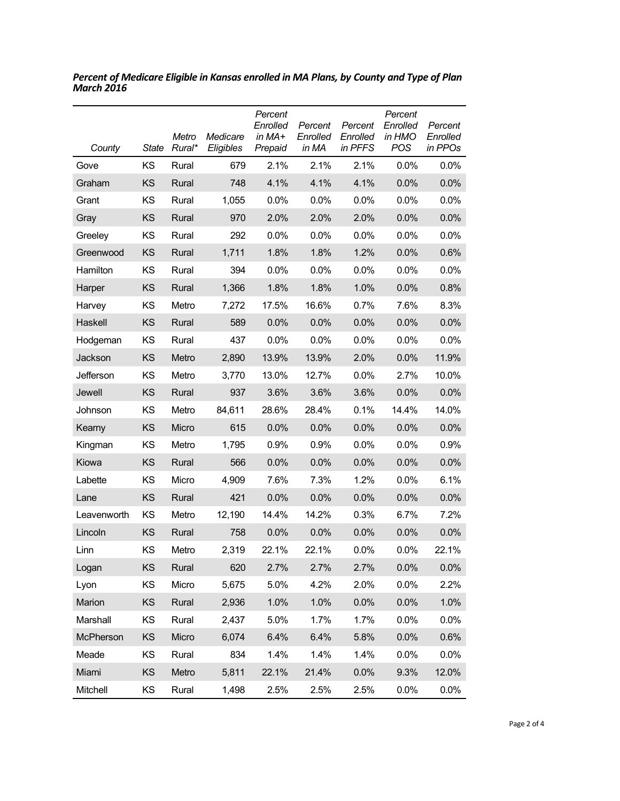| County           | State | Metro<br>Rural* | Medicare<br>Eligibles | Percent<br>Enrolled<br>in MA+<br>Prepaid | Percent<br>Enrolled<br>in MA | Percent<br>Enrolled<br>in PFFS | Percent<br>Enrolled<br>in HMO<br><b>POS</b> | Percent<br>Enrolled<br>in PPOs |
|------------------|-------|-----------------|-----------------------|------------------------------------------|------------------------------|--------------------------------|---------------------------------------------|--------------------------------|
| Gove             | KS    | Rural           | 679                   | 2.1%                                     | 2.1%                         | 2.1%                           | $0.0\%$                                     | 0.0%                           |
| Graham           | KS    | Rural           | 748                   | 4.1%                                     | 4.1%                         | 4.1%                           | 0.0%                                        | 0.0%                           |
| Grant            | KS    | Rural           | 1,055                 | $0.0\%$                                  | 0.0%                         | 0.0%                           | 0.0%                                        | 0.0%                           |
| Gray             | KS    | Rural           | 970                   | 2.0%                                     | 2.0%                         | 2.0%                           | 0.0%                                        | 0.0%                           |
| Greeley          | ΚS    | Rural           | 292                   | 0.0%                                     | 0.0%                         | 0.0%                           | $0.0\%$                                     | 0.0%                           |
| Greenwood        | KS    | Rural           | 1,711                 | 1.8%                                     | 1.8%                         | 1.2%                           | 0.0%                                        | 0.6%                           |
| Hamilton         | KS    | Rural           | 394                   | 0.0%                                     | 0.0%                         | $0.0\%$                        | 0.0%                                        | 0.0%                           |
| Harper           | KS    | Rural           | 1,366                 | 1.8%                                     | 1.8%                         | 1.0%                           | 0.0%                                        | 0.8%                           |
| Harvey           | ΚS    | Metro           | 7,272                 | 17.5%                                    | 16.6%                        | 0.7%                           | 7.6%                                        | 8.3%                           |
| Haskell          | KS    | Rural           | 589                   | 0.0%                                     | 0.0%                         | 0.0%                           | 0.0%                                        | 0.0%                           |
| Hodgeman         | ΚS    | Rural           | 437                   | 0.0%                                     | 0.0%                         | 0.0%                           | 0.0%                                        | 0.0%                           |
| Jackson          | KS    | Metro           | 2,890                 | 13.9%                                    | 13.9%                        | 2.0%                           | 0.0%                                        | 11.9%                          |
| Jefferson        | ΚS    | Metro           | 3.770                 | 13.0%                                    | 12.7%                        | $0.0\%$                        | 2.7%                                        | 10.0%                          |
| Jewell           | KS    | Rural           | 937                   | 3.6%                                     | 3.6%                         | 3.6%                           | 0.0%                                        | 0.0%                           |
| Johnson          | KS    | Metro           | 84,611                | 28.6%                                    | 28.4%                        | 0.1%                           | 14.4%                                       | 14.0%                          |
| Kearny           | KS    | Micro           | 615                   | 0.0%                                     | 0.0%                         | 0.0%                           | 0.0%                                        | 0.0%                           |
| Kingman          | KS    | Metro           | 1,795                 | 0.9%                                     | 0.9%                         | 0.0%                           | 0.0%                                        | 0.9%                           |
| Kiowa            | KS    | Rural           | 566                   | 0.0%                                     | 0.0%                         | 0.0%                           | 0.0%                                        | 0.0%                           |
| Labette          | KS    | Micro           | 4,909                 | 7.6%                                     | 7.3%                         | 1.2%                           | 0.0%                                        | 6.1%                           |
| Lane             | KS    | Rural           | 421                   | 0.0%                                     | 0.0%                         | 0.0%                           | 0.0%                                        | 0.0%                           |
| Leavenworth      | KS    | Metro           | 12,190                | 14.4%                                    | 14.2%                        | 0.3%                           | 6.7%                                        | 7.2%                           |
| Lincoln          | KS    | Rural           | 758                   | 0.0%                                     | 0.0%                         | 0.0%                           | 0.0%                                        | 0.0%                           |
| Linn             | KS    | Metro           | 2,319                 | 22.1%                                    | 22.1%                        | 0.0%                           | 0.0%                                        | 22.1%                          |
| Logan            | KS    | Rural           | 620                   | 2.7%                                     | 2.7%                         | 2.7%                           | 0.0%                                        | 0.0%                           |
| Lyon             | KS    | Micro           | 5,675                 | 5.0%                                     | 4.2%                         | 2.0%                           | 0.0%                                        | 2.2%                           |
| Marion           | KS    | Rural           | 2,936                 | 1.0%                                     | 1.0%                         | 0.0%                           | 0.0%                                        | 1.0%                           |
| Marshall         | KS    | Rural           | 2,437                 | 5.0%                                     | 1.7%                         | 1.7%                           | 0.0%                                        | 0.0%                           |
| <b>McPherson</b> | KS    | Micro           | 6,074                 | 6.4%                                     | 6.4%                         | 5.8%                           | 0.0%                                        | 0.6%                           |
| Meade            | KS    | Rural           | 834                   | 1.4%                                     | 1.4%                         | 1.4%                           | 0.0%                                        | 0.0%                           |
| Miami            | KS    | Metro           | 5,811                 | 22.1%                                    | 21.4%                        | 0.0%                           | 9.3%                                        | 12.0%                          |
| Mitchell         | KS    | Rural           | 1,498                 | 2.5%                                     | 2.5%                         | 2.5%                           | 0.0%                                        | 0.0%                           |

*Percent of Medicare Eligible in Kansas enrolled in MA Plans, by County and Type of Plan March 2016*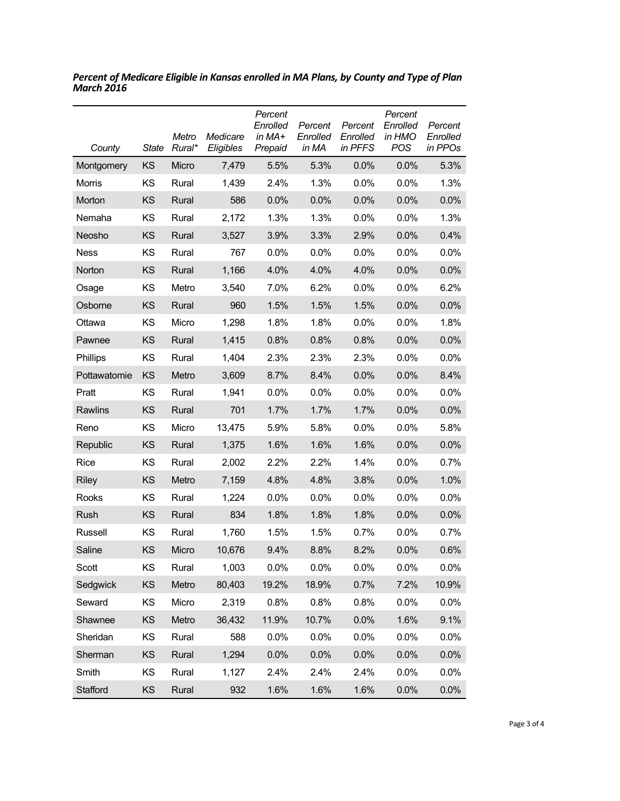| County       | <b>State</b> | Metro<br>Rural* | Medicare<br>Eligibles | Percent<br>Enrolled<br>in MA+<br>Prepaid | Percent<br>Enrolled<br>in MA | Percent<br>Enrolled<br>in PFFS | Percent<br>Enrolled<br>in HMO<br>POS | Percent<br>Enrolled<br>in PPOs |
|--------------|--------------|-----------------|-----------------------|------------------------------------------|------------------------------|--------------------------------|--------------------------------------|--------------------------------|
| Montgomery   | KS           | Micro           | 7,479                 | 5.5%                                     | 5.3%                         | 0.0%                           | 0.0%                                 | 5.3%                           |
| Morris       | KS           | Rural           | 1,439                 | 2.4%                                     | 1.3%                         | $0.0\%$                        | $0.0\%$                              | 1.3%                           |
| Morton       | <b>KS</b>    | Rural           | 586                   | 0.0%                                     | 0.0%                         | 0.0%                           | 0.0%                                 | 0.0%                           |
| Nemaha       | ΚS           | Rural           | 2,172                 | 1.3%                                     | 1.3%                         | $0.0\%$                        | $0.0\%$                              | 1.3%                           |
| Neosho       | KS           | Rural           | 3,527                 | 3.9%                                     | 3.3%                         | 2.9%                           | 0.0%                                 | 0.4%                           |
| Ness         | KS           | Rural           | 767                   | 0.0%                                     | 0.0%                         | $0.0\%$                        | $0.0\%$                              | 0.0%                           |
| Norton       | KS           | Rural           | 1,166                 | 4.0%                                     | 4.0%                         | 4.0%                           | 0.0%                                 | 0.0%                           |
| Osage        | KS           | Metro           | 3,540                 | 7.0%                                     | 6.2%                         | $0.0\%$                        | 0.0%                                 | 6.2%                           |
| Osborne      | KS           | Rural           | 960                   | 1.5%                                     | 1.5%                         | 1.5%                           | 0.0%                                 | 0.0%                           |
| Ottawa       | KS           | Micro           | 1,298                 | 1.8%                                     | 1.8%                         | 0.0%                           | 0.0%                                 | 1.8%                           |
| Pawnee       | KS           | Rural           | 1,415                 | 0.8%                                     | 0.8%                         | 0.8%                           | 0.0%                                 | 0.0%                           |
| Phillips     | KS           | Rural           | 1,404                 | 2.3%                                     | 2.3%                         | 2.3%                           | 0.0%                                 | 0.0%                           |
| Pottawatomie | KS           | Metro           | 3,609                 | 8.7%                                     | 8.4%                         | 0.0%                           | 0.0%                                 | 8.4%                           |
| Pratt        | KS           | Rural           | 1,941                 | 0.0%                                     | 0.0%                         | $0.0\%$                        | $0.0\%$                              | 0.0%                           |
| Rawlins      | <b>KS</b>    | Rural           | 701                   | 1.7%                                     | 1.7%                         | 1.7%                           | 0.0%                                 | 0.0%                           |
| Reno         | KS           | Micro           | 13,475                | 5.9%                                     | 5.8%                         | $0.0\%$                        | $0.0\%$                              | 5.8%                           |
| Republic     | KS           | Rural           | 1,375                 | 1.6%                                     | 1.6%                         | 1.6%                           | 0.0%                                 | 0.0%                           |
| Rice         | KS           | Rural           | 2,002                 | 2.2%                                     | 2.2%                         | 1.4%                           | $0.0\%$                              | 0.7%                           |
| <b>Riley</b> | KS           | Metro           | 7,159                 | 4.8%                                     | 4.8%                         | 3.8%                           | 0.0%                                 | 1.0%                           |
| Rooks        | ΚS           | Rural           | 1,224                 | $0.0\%$                                  | 0.0%                         | 0.0%                           | 0.0%                                 | 0.0%                           |
| Rush         | <b>KS</b>    | Rural           | 834                   | 1.8%                                     | 1.8%                         | 1.8%                           | 0.0%                                 | 0.0%                           |
| Russell      | ΚS           | Rural           | 1,760                 | 1.5%                                     | 1.5%                         | 0.7%                           | $0.0\%$                              | 0.7%                           |
| Saline       | KS           | Micro           | 10,676                | 9.4%                                     | 8.8%                         | 8.2%                           | 0.0%                                 | 0.6%                           |
| Scott        | KS           | Rural           | 1,003                 | 0.0%                                     | 0.0%                         | 0.0%                           | 0.0%                                 | 0.0%                           |
| Sedgwick     | KS           | Metro           | 80,403                | 19.2%                                    | 18.9%                        | 0.7%                           | 7.2%                                 | 10.9%                          |
| Seward       | KS           | Micro           | 2,319                 | 0.8%                                     | 0.8%                         | 0.8%                           | $0.0\%$                              | 0.0%                           |
| Shawnee      | KS           | Metro           | 36,432                | 11.9%                                    | 10.7%                        | 0.0%                           | 1.6%                                 | 9.1%                           |
| Sheridan     | KS           | Rural           | 588                   | 0.0%                                     | 0.0%                         | 0.0%                           | 0.0%                                 | 0.0%                           |
| Sherman      | KS           | Rural           | 1,294                 | 0.0%                                     | 0.0%                         | 0.0%                           | 0.0%                                 | 0.0%                           |
| Smith        | KS           | Rural           | 1,127                 | 2.4%                                     | 2.4%                         | 2.4%                           | 0.0%                                 | 0.0%                           |
| Stafford     | KS           | Rural           | 932                   | 1.6%                                     | 1.6%                         | 1.6%                           | 0.0%                                 | 0.0%                           |

*Percent of Medicare Eligible in Kansas enrolled in MA Plans, by County and Type of Plan March 2016*